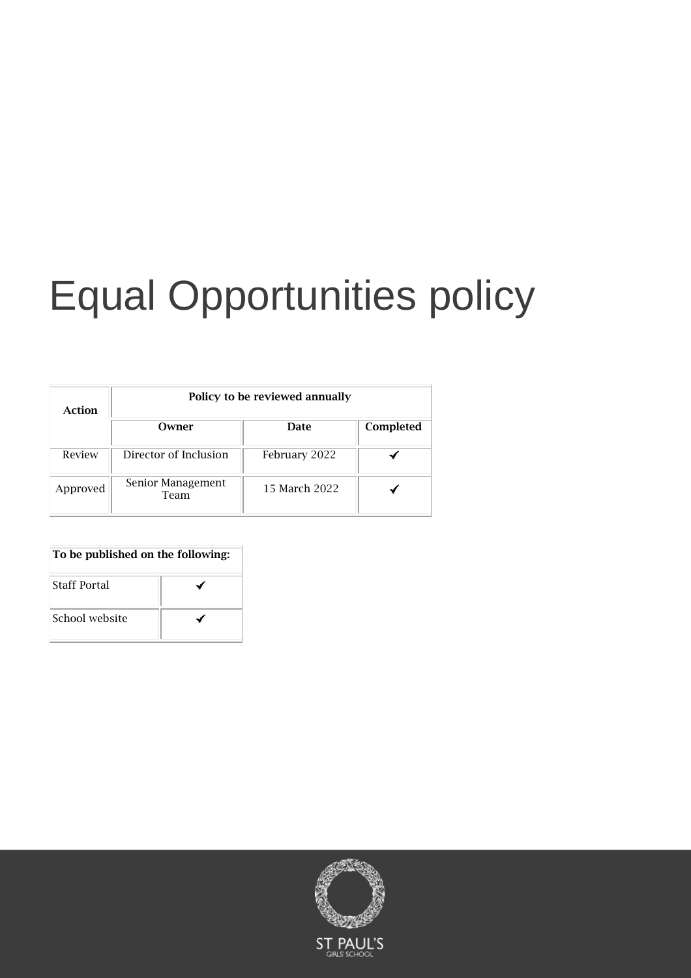# Equal Opportunities policy

| Action   | Policy to be reviewed annually |               |           |
|----------|--------------------------------|---------------|-----------|
|          | Owner                          | Date          | Completed |
| Review   | Director of Inclusion          | February 2022 |           |
| Approved | Senior Management<br>Team      | 15 March 2022 |           |

# To be published on the following:

| <b>Staff Portal</b> |  |
|---------------------|--|
| School website      |  |

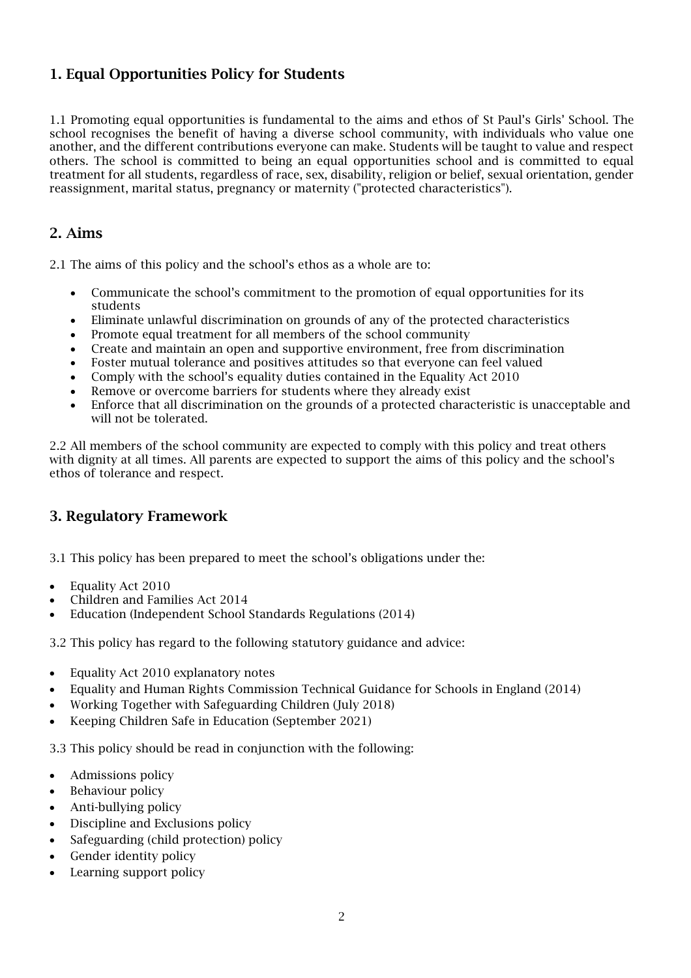# 1. Equal Opportunities Policy for Students

1.1 Promoting equal opportunities is fundamental to the aims and ethos of St Paul's Girls' School. The school recognises the benefit of having a diverse school community, with individuals who value one another, and the different contributions everyone can make. Students will be taught to value and respect others. The school is committed to being an equal opportunities school and is committed to equal treatment for all students, regardless of race, sex, disability, religion or belief, sexual orientation, gender reassignment, marital status, pregnancy or maternity ("protected characteristics").

### 2. Aims

2.1 The aims of this policy and the school's ethos as a whole are to:

- Communicate the school's commitment to the promotion of equal opportunities for its students
- Eliminate unlawful discrimination on grounds of any of the protected characteristics
- Promote equal treatment for all members of the school community
- Create and maintain an open and supportive environment, free from discrimination
- Foster mutual tolerance and positives attitudes so that everyone can feel valued
- Comply with the school's equality duties contained in the Equality Act 2010
- Remove or overcome barriers for students where they already exist
- Enforce that all discrimination on the grounds of a protected characteristic is unacceptable and will not be tolerated.

2.2 All members of the school community are expected to comply with this policy and treat others with dignity at all times. All parents are expected to support the aims of this policy and the school's ethos of tolerance and respect.

# 3. Regulatory Framework

3.1 This policy has been prepared to meet the school's obligations under the:

- Equality Act 2010
- Children and Families Act 2014
- Education (Independent School Standards Regulations (2014)

3.2 This policy has regard to the following statutory guidance and advice:

- Equality Act 2010 explanatory notes
- Equality and Human Rights Commission Technical Guidance for Schools in England (2014)
- Working Together with Safeguarding Children (July 2018)
- Keeping Children Safe in Education (September 2021)

3.3 This policy should be read in conjunction with the following:

- Admissions policy
- Behaviour policy
- Anti-bullying policy
- Discipline and Exclusions policy
- Safeguarding (child protection) policy
- Gender identity policy
- Learning support policy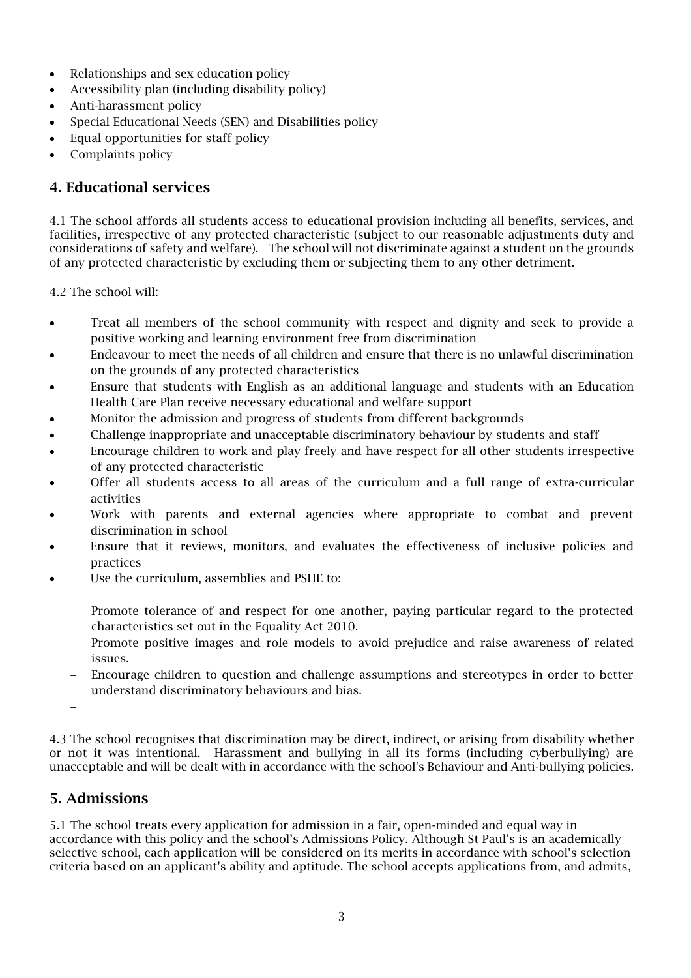- Relationships and sex education policy
- Accessibility plan (including disability policy)
- Anti-harassment policy
- Special Educational Needs (SEN) and Disabilities policy
- Equal opportunities for staff policy
- Complaints policy

### 4. Educational services

4.1 The school affords all students access to educational provision including all benefits, services, and facilities, irrespective of any protected characteristic (subject to our reasonable adjustments duty and considerations of safety and welfare). The school will not discriminate against a student on the grounds of any protected characteristic by excluding them or subjecting them to any other detriment.

4.2 The school will:

- Treat all members of the school community with respect and dignity and seek to provide a positive working and learning environment free from discrimination
- Endeavour to meet the needs of all children and ensure that there is no unlawful discrimination on the grounds of any protected characteristics
- Ensure that students with English as an additional language and students with an Education Health Care Plan receive necessary educational and welfare support
- Monitor the admission and progress of students from different backgrounds
- Challenge inappropriate and unacceptable discriminatory behaviour by students and staff
- Encourage children to work and play freely and have respect for all other students irrespective of any protected characteristic
- Offer all students access to all areas of the curriculum and a full range of extra-curricular activities
- Work with parents and external agencies where appropriate to combat and prevent discrimination in school
- Ensure that it reviews, monitors, and evaluates the effectiveness of inclusive policies and practices
- Use the curriculum, assemblies and PSHE to:
	- Promote tolerance of and respect for one another, paying particular regard to the protected characteristics set out in the Equality Act 2010.
	- − Promote positive images and role models to avoid prejudice and raise awareness of related issues.
	- − Encourage children to question and challenge assumptions and stereotypes in order to better understand discriminatory behaviours and bias.

−

4.3 The school recognises that discrimination may be direct, indirect, or arising from disability whether or not it was intentional. Harassment and bullying in all its forms (including cyberbullying) are unacceptable and will be dealt with in accordance with the school's Behaviour and Anti-bullying policies.

# 5. Admissions

5.1 The school treats every application for admission in a fair, open-minded and equal way in accordance with this policy and the school's Admissions Policy. Although St Paul's is an academically selective school, each application will be considered on its merits in accordance with school's selection criteria based on an applicant's ability and aptitude. The school accepts applications from, and admits,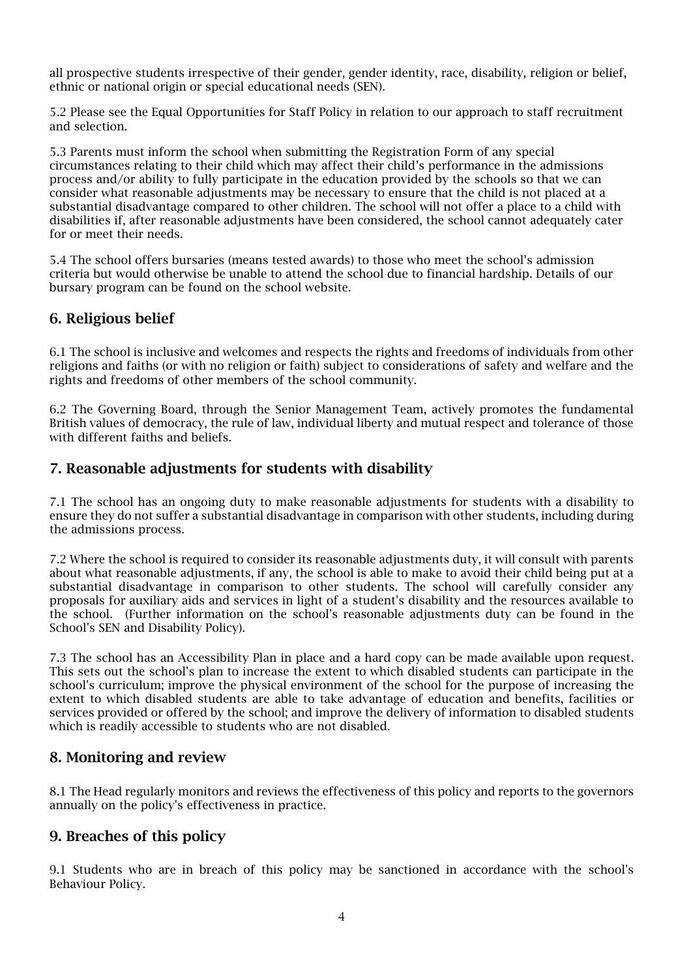all prospective students irrespective of their gender, gender identity, race, disability, religion or belief, ethnic or national origin or special educational needs (SEN).

5.2 Please see the Equal Opportunities for Staff Policy in relation to our approach to staff recruitment and selection.

5.3 Parents must inform the school when submitting the Registration Form of any special circumstances relating to their child which may affect their child's performance in the admissions process and/or ability to fully participate in the education provided by the schools so that we can consider what reasonable adjustments may be necessary to ensure that the child is not placed at a substantial disadvantage compared to other children. The school will not offer a place to a child with disabilities if, after reasonable adjustments have been considered, the school cannot adequately cater for or meet their needs.

5.4 The school offers bursaries (means tested awards) to those who meet the school's admission criteria but would otherwise be unable to attend the school due to financial hardship. Details of our bursary program can be found on the school website.

# 6. Religious belief

6.1 The school is inclusive and welcomes and respects the rights and freedoms of individuals from other religions and faiths (or with no religion or faith) subject to considerations of safety and welfare and the rights and freedoms of other members of the school community.

6.2 The Governing Board, through the Senior Management Team, actively promotes the fundamental British values of democracy, the rule of law, individual liberty and mutual respect and tolerance of those with different faiths and beliefs.

### 7. Reasonable adjustments for students with disability

7.1 The school has an ongoing duty to make reasonable adjustments for students with a disability to ensure they do not suffer a substantial disadvantage in comparison with other students, including during the admissions process.

7.2 Where the school is required to consider its reasonable adjustments duty, it will consult with parents about what reasonable adjustments, if any, the school is able to make to avoid their child being put at a substantial disadvantage in comparison to other students. The school will carefully consider any proposals for auxiliary aids and services in light of a student's disability and the resources available to the school. (Further information on the school's reasonable adjustments duty can be found in the School's SEN and Disability Policy).

7.3 The school has an Accessibility Plan in place and a hard copy can be made available upon request. This sets out the school's plan to increase the extent to which disabled students can participate in the school's curriculum; improve the physical environment of the school for the purpose of increasing the extent to which disabled students are able to take advantage of education and benefits, facilities or services provided or offered by the school; and improve the delivery of information to disabled students which is readily accessible to students who are not disabled.

#### 8. Monitoring and review

8.1 The Head regularly monitors and reviews the effectiveness of this policy and reports to the governors annually on the policy's effectiveness in practice.

#### 9. Breaches of this policy

9.1 Students who are in breach of this policy may be sanctioned in accordance with the school's Behaviour Policy.